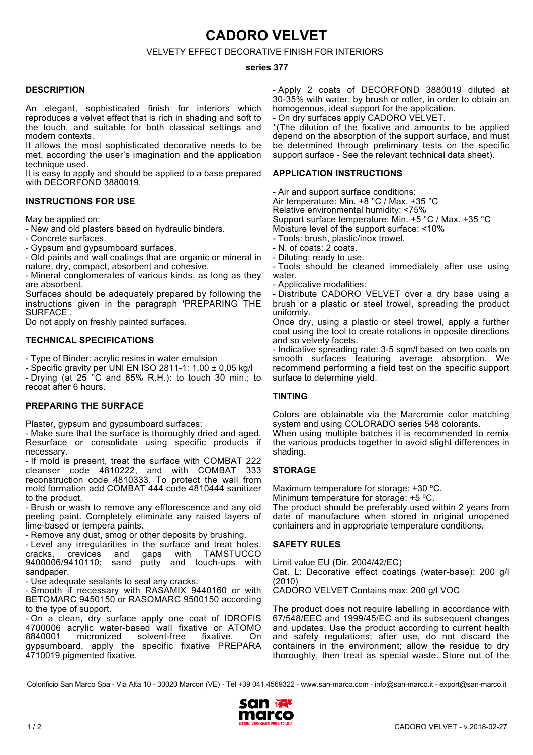**CADORO VELVET**

# VELVETY EFFECT DECORATIVE FINISH FOR INTERIORS

#### **series 377**

#### **DESCRIPTION**

An elegant, sophisticated finish for interiors which reproduces a velvet effect that is rich in shading and soft to the touch, and suitable for both classical settings and modern contexts.

It allows the most sophisticated decorative needs to be met, according the user's imagination and the application technique used.

It is easy to apply and should be applied to a base prepared with DECORFOND 3880019.

#### **INSTRUCTIONS FOR USE**

May be applied on:

- New and old plasters based on hydraulic binders.

- Concrete surfaces.

- Gypsum and gypsumboard surfaces.

- Old paints and wall coatings that are organic or mineral in nature, dry, compact, absorbent and cohesive.

- Mineral conglomerates of various kinds, as long as they are absorbent.

Surfaces should be adequately prepared by following the instructions given in the paragraph 'PREPARING THE SURFACE'.

Do not apply on freshly painted surfaces.

## **TECHNICAL SPECIFICATIONS**

- Type of Binder: acrylic resins in water emulsion

- Specific gravity per UNI EN ISO 2811-1: 1.00 ± 0,05 kg/l - Drying (at 25 °C and 65% R.H.): to touch 30 min.; to recoat after 6 hours.

## **PREPARING THE SURFACE**

Plaster, gypsum and gypsumboard surfaces:

- Make sure that the surface is thoroughly dried and aged. Resurface or consolidate using specific products if necessary.

- If mold is present, treat the surface with COMBAT 222 cleanser code 4810222, and with COMBAT 333 reconstruction code 4810333. To protect the wall from mold formation add COMBAT 444 code 4810444 sanitizer to the product.

- Brush or wash to remove any efflorescence and any old peeling paint. Completely eliminate any raised layers of lime-based or tempera paints.

- Remove any dust, smog or other deposits by brushing.

- Level any irregularities in the surface and treat holes, cracks, crevices and gaps with TAMSTUCCO cracks, crevices and gaps with TAMSTUCCO 9400006/9410110; sand putty and touch-ups with sandpaper

- Use adequate sealants to seal any cracks.

- Smooth if necessary with RASAMIX 9440160 or with BETOMARC 9450150 or RASOMARC 9500150 according to the type of support.

- On a clean, dry surface apply one coat of IDROFIS 4700006 acrylic water-based wall fixative or ATOMO solvent-free gypsumboard, apply the specific fixative PREPARA 4710019 pigmented fixative.

- Apply 2 coats of DECORFOND 3880019 diluted at 30-35% with water, by brush or roller, in order to obtain an homogenous, ideal support for the application.

- On dry surfaces apply CADORO VELVET.

\*(The dilution of the fixative and amounts to be applied depend on the absorption of the support surface, and must be determined through preliminary tests on the specific support surface - See the relevant technical data sheet).

#### **APPLICATION INSTRUCTIONS**

- Air and support surface conditions: Air temperature: Min. +8 °C / Max. +35 °C Relative environmental humidity: <75% Support surface temperature: Min. +5 °C / Max. +35 °C Moisture level of the support surface: <10% - Tools: brush, plastic/inox trowel.

- N. of coats: 2 coats.

- Diluting: ready to use.

- Tools should be cleaned immediately after use using water.

- Applicative modalities:

- Distribute CADORO VELVET over a dry base using a brush or a plastic or steel trowel, spreading the product uniformly.

Once dry, using a plastic or steel trowel, apply a further coat using the tool to create rotations in opposite directions and so velvety facets.

- Indicative spreading rate: 3-5 sqm/l based on two coats on smooth surfaces featuring average absorption. We recommend performing a field test on the specific support surface to determine yield.

## **TINTING**

Colors are obtainable via the Marcromie color matching system and using COLORADO series 548 colorants.

When using multiple batches it is recommended to remix the various products together to avoid slight differences in shading.

## **STORAGE**

Maximum temperature for storage: +30 °C.

Minimum temperature for storage: +5 ºC.

The product should be preferably used within 2 years from date of manufacture when stored in original unopened containers and in appropriate temperature conditions.

## **SAFETY RULES**

Limit value EU (Dir. 2004/42/EC)

Cat. L: Decorative effect coatings (water-base): 200 g/l (2010)

CADORO VELVET Contains max: 200 g/l VOC

The product does not require labelling in accordance with 67/548/EEC and 1999/45/EC and its subsequent changes and updates. Use the product according to current health and safety regulations; after use, do not discard the containers in the environment; allow the residue to dry thoroughly, then treat as special waste. Store out of the

Colorificio San Marco Spa - Via Alta 10 - 30020 Marcon (VE) - Tel +39 041 4569322 - www.san-marco.com - info@san-marco.it - export@san-marco.it